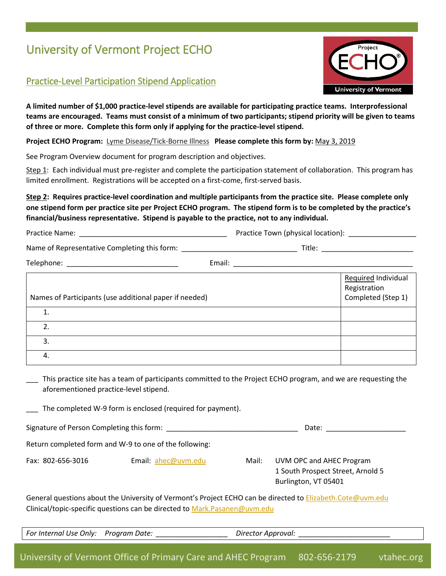# University of Vermont Project ECHO

## Practice-Level Participation Stipend Application



**A limited number of \$1,000 practice-level stipends are available for participating practice teams. Interprofessional teams are encouraged. Teams must consist of a minimum of two participants; stipend priority will be given to teams of three or more. Complete this form only if applying for the practice-level stipend.**

**Project ECHO Program:** Lyme Disease/Tick-Borne Illness **Please complete this form by:** May 3, 2019

See Program Overview document for program description and objectives.

Step 1: Each individual must pre-register and complete the participation statement of collaboration. This program has limited enrollment. Registrations will be accepted on a first-come, first-served basis.

### **Step 2: Requires practice-level coordination and multiple participants from the practice site. Please complete only one stipend form per practice site per Project ECHO program. The stipend form is to be completed by the practice's financial/business representative. Stipend is payable to the practice, not to any individual.**

| Practice Name: | Practice Town (physical location): |
|----------------|------------------------------------|
|----------------|------------------------------------|

Name of Representative Completing this form: \_\_\_\_\_\_\_\_\_\_\_\_\_\_\_\_\_\_\_\_\_\_\_\_\_\_\_\_\_ Title: \_\_\_\_\_\_\_\_\_\_\_\_\_\_\_\_\_\_\_\_\_\_\_

Telephone: \_\_\_\_\_\_\_\_\_\_\_\_\_\_\_\_\_\_\_\_\_\_\_\_\_\_\_\_ Email: \_\_\_\_\_\_\_\_\_\_\_\_\_\_\_\_\_\_\_\_\_\_\_\_\_\_\_\_\_\_\_\_\_\_\_\_\_\_\_\_\_\_\_\_\_

| Names of Participants (use additional paper if needed) | Required Individual<br>Registration<br>Completed (Step 1) |
|--------------------------------------------------------|-----------------------------------------------------------|
|                                                        |                                                           |
|                                                        |                                                           |
| 3.                                                     |                                                           |
| 4.                                                     |                                                           |

This practice site has a team of participants committed to the Project ECHO program, and we are requesting the aforementioned practice-level stipend.

The completed W-9 form is enclosed (required for payment).

| Signature of Person Completing this form:<br>Date |  |
|---------------------------------------------------|--|
|---------------------------------------------------|--|

Return completed form and W-9 to one of the following:

Fax: 802-656-3016 Email: [ahec@uvm.edu](mailto:ahec@uvm.edu) Mail: UVM OPC and AHEC Program 1 South Prospect Street, Arnold 5

Burlington, VT 05401

General questions about the University of Vermont's Project ECHO can be directed to **Elizabeth.Cote@uvm.edu** Clinical/topic-specific questions can be directed to [Mark.Pasanen@uvm.edu](mailto:mark.pasanen@uvm.edu)

*For Internal Use Only: Program Date: \_\_\_\_\_\_\_\_\_\_\_\_\_\_\_\_\_\_ Director Approval: \_\_\_\_\_\_\_\_\_\_\_\_\_\_\_\_\_\_\_\_\_\_\_*

University of Vermont Office of Primary Care and AHEC Program 802-656-2179 vtahec.org